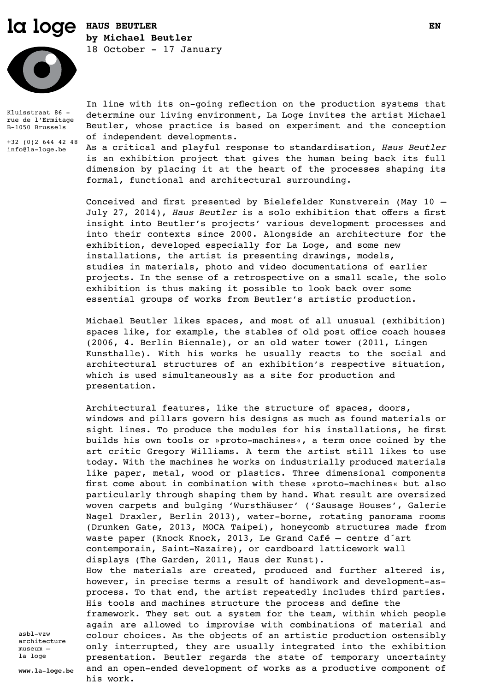# la loge **HAUS BEUTLER by Michael Beutler** 18 October - 17 January



Kluisstraat 86 rue de l'Ermitage B-1050 Brussels

+32 (0)2 644 42 48 info@la-loge.be

In line with its on-going reflection on the production systems that determine our living environment, La Loge invites the artist Michael Beutler, whose practice is based on experiment and the conception of independent developments.

As a critical and playful response to standardisation, *Haus Beutler* is an exhibition project that gives the human being back its full dimension by placing it at the heart of the processes shaping its formal, functional and architectural surrounding.

Conceived and first presented by Bielefelder Kunstverein (May 10 – July 27, 2014), *Haus Beutler* is a solo exhibition that offers a first insight into Beutler's projects' various development processes and into their contexts since 2000. Alongside an architecture for the exhibition, developed especially for La Loge, and some new installations, the artist is presenting drawings, models, studies in materials, photo and video documentations of earlier projects. In the sense of a retrospective on a small scale, the solo exhibition is thus making it possible to look back over some essential groups of works from Beutler's artistic production.

Michael Beutler likes spaces, and most of all unusual (exhibition) spaces like, for example, the stables of old post office coach houses (2006, 4. Berlin Biennale), or an old water tower (2011, Lingen Kunsthalle). With his works he usually reacts to the social and architectural structures of an exhibition's respective situation, which is used simultaneously as a site for production and presentation.

Architectural features, like the structure of spaces, doors, windows and pillars govern his designs as much as found materials or sight lines. To produce the modules for his installations, he first builds his own tools or »proto-machines«, a term once coined by the art critic Gregory Williams. A term the artist still likes to use today. With the machines he works on industrially produced materials like paper, metal, wood or plastics. Three dimensional components first come about in combination with these »proto-machines« but also particularly through shaping them by hand. What result are oversized woven carpets and bulging 'Wursthäuser' ('Sausage Houses', Galerie Nagel Draxler, Berlin 2013), water-borne, rotating panorama rooms (Drunken Gate, 2013, MOCA Taipei), honeycomb structures made from waste paper (Knock Knock, 2013, Le Grand Café – centre d´art contemporain, Saint-Nazaire), or cardboard latticework wall displays (The Garden, 2011, Haus der Kunst). How the materials are created, produced and further altered is, however, in precise terms a result of handiwork and development-asprocess. To that end, the artist repeatedly includes third parties. His tools and machines structure the process and define the framework. They set out a system for the team, within which people again are allowed to improvise with combinations of material and colour choices. As the objects of an artistic production ostensibly only interrupted, they are usually integrated into the exhibition presentation. Beutler regards the state of temporary uncertainty and an open-ended development of works as a productive component of his work.

asbl-vzw architecture museum – la loge

**www.la-loge.be**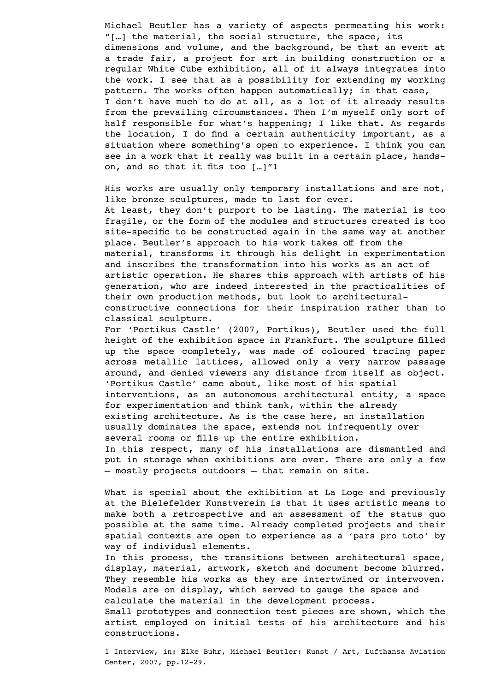Michael Beutler has a variety of aspects permeating his work: "[…] the material, the social structure, the space, its dimensions and volume, and the background, be that an event at a trade fair, a project for art in building construction or a regular White Cube exhibition, all of it always integrates into the work. I see that as a possibility for extending my working pattern. The works often happen automatically; in that case, I don't have much to do at all, as a lot of it already results from the prevailing circumstances. Then I'm myself only sort of half responsible for what's happening; I like that. As regards the location, I do find a certain authenticity important, as a situation where something's open to experience. I think you can see in a work that it really was built in a certain place, handson, and so that it fits too […]"1

His works are usually only temporary installations and are not, like bronze sculptures, made to last for ever. At least, they don't purport to be lasting. The material is too fragile, or the form of the modules and structures created is too site-specific to be constructed again in the same way at another place. Beutler's approach to his work takes off from the material, transforms it through his delight in experimentation and inscribes the transformation into his works as an act of artistic operation. He shares this approach with artists of his generation, who are indeed interested in the practicalities of their own production methods, but look to architecturalconstructive connections for their inspiration rather than to classical sculpture.

For 'Portikus Castle' (2007, Portikus), Beutler used the full height of the exhibition space in Frankfurt. The sculpture filled up the space completely, was made of coloured tracing paper across metallic lattices, allowed only a very narrow passage around, and denied viewers any distance from itself as object. 'Portikus Castle' came about, like most of his spatial interventions, as an autonomous architectural entity, a space for experimentation and think tank, within the already existing architecture. As is the case here, an installation usually dominates the space, extends not infrequently over several rooms or fills up the entire exhibition. In this respect, many of his installations are dismantled and put in storage when exhibitions are over. There are only a few – mostly projects outdoors – that remain on site.

What is special about the exhibition at La Loge and previously at the Bielefelder Kunstverein is that it uses artistic means to make both a retrospective and an assessment of the status quo possible at the same time. Already completed projects and their spatial contexts are open to experience as a 'pars pro toto' by way of individual elements.

In this process, the transitions between architectural space, display, material, artwork, sketch and document become blurred. They resemble his works as they are intertwined or interwoven. Models are on display, which served to gauge the space and calculate the material in the development process.

Small prototypes and connection test pieces are shown, which the artist employed on initial tests of his architecture and his constructions.

1 Interview, in: Elke Buhr, Michael Beutler: Kunst / Art, Lufthansa Aviation Center, 2007, pp.12-29.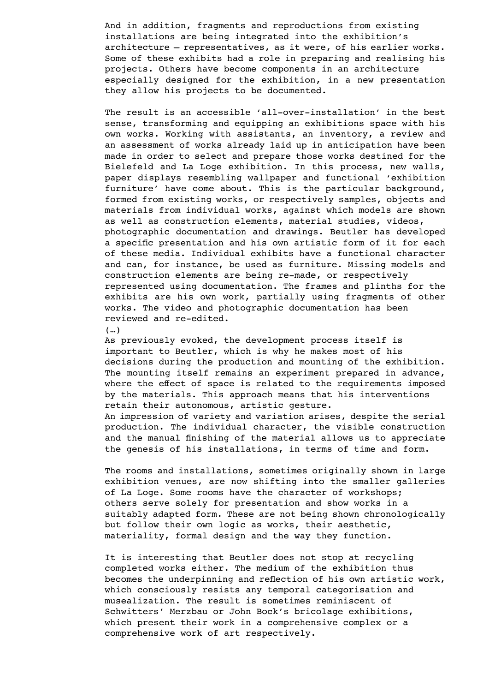And in addition, fragments and reproductions from existing installations are being integrated into the exhibition's architecture – representatives, as it were, of his earlier works. Some of these exhibits had a role in preparing and realising his projects. Others have become components in an architecture especially designed for the exhibition, in a new presentation they allow his projects to be documented.

The result is an accessible 'all-over-installation' in the best sense, transforming and equipping an exhibitions space with his own works. Working with assistants, an inventory, a review and an assessment of works already laid up in anticipation have been made in order to select and prepare those works destined for the Bielefeld and La Loge exhibition. In this process, new walls, paper displays resembling wallpaper and functional 'exhibition furniture' have come about. This is the particular background, formed from existing works, or respectively samples, objects and materials from individual works, against which models are shown as well as construction elements, material studies, videos, photographic documentation and drawings. Beutler has developed a specific presentation and his own artistic form of it for each of these media. Individual exhibits have a functional character and can, for instance, be used as furniture. Missing models and construction elements are being re-made, or respectively represented using documentation. The frames and plinths for the exhibits are his own work, partially using fragments of other works. The video and photographic documentation has been reviewed and re-edited.

(…)

As previously evoked, the development process itself is important to Beutler, which is why he makes most of his decisions during the production and mounting of the exhibition. The mounting itself remains an experiment prepared in advance, where the effect of space is related to the requirements imposed by the materials. This approach means that his interventions retain their autonomous, artistic gesture.

An impression of variety and variation arises, despite the serial production. The individual character, the visible construction and the manual finishing of the material allows us to appreciate the genesis of his installations, in terms of time and form.

The rooms and installations, sometimes originally shown in large exhibition venues, are now shifting into the smaller galleries of La Loge. Some rooms have the character of workshops; others serve solely for presentation and show works in a suitably adapted form. These are not being shown chronologically but follow their own logic as works, their aesthetic, materiality, formal design and the way they function.

It is interesting that Beutler does not stop at recycling completed works either. The medium of the exhibition thus becomes the underpinning and reflection of his own artistic work, which consciously resists any temporal categorisation and musealization. The result is sometimes reminiscent of Schwitters' Merzbau or John Bock's bricolage exhibitions, which present their work in a comprehensive complex or a comprehensive work of art respectively.